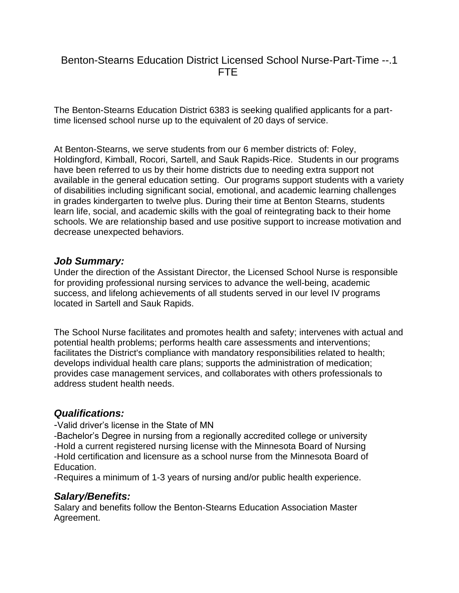# Benton-Stearns Education District Licensed School Nurse-Part-Time --.1 FTE

The Benton-Stearns Education District 6383 is seeking qualified applicants for a parttime licensed school nurse up to the equivalent of 20 days of service.

At Benton-Stearns, we serve students from our 6 member districts of: Foley, Holdingford, Kimball, Rocori, Sartell, and Sauk Rapids-Rice. Students in our programs have been referred to us by their home districts due to needing extra support not available in the general education setting. Our programs support students with a variety of disabilities including significant social, emotional, and academic learning challenges in grades kindergarten to twelve plus. During their time at Benton Stearns, students learn life, social, and academic skills with the goal of reintegrating back to their home schools. We are relationship based and use positive support to increase motivation and decrease unexpected behaviors.

#### *Job Summary:*

Under the direction of the Assistant Director, the Licensed School Nurse is responsible for providing professional nursing services to advance the well-being, academic success, and lifelong achievements of all students served in our level IV programs located in Sartell and Sauk Rapids.

The School Nurse facilitates and promotes health and safety; intervenes with actual and potential health problems; performs health care assessments and interventions; facilitates the District's compliance with mandatory responsibilities related to health; develops individual health care plans; supports the administration of medication; provides case management services, and collaborates with others professionals to address student health needs.

### *Qualifications:*

-Valid driver's license in the State of MN

-Bachelor's Degree in nursing from a regionally accredited college or university -Hold a current registered nursing license with the Minnesota Board of Nursing -Hold certification and licensure as a school nurse from the Minnesota Board of Education.

-Requires a minimum of 1-3 years of nursing and/or public health experience.

### *Salary/Benefits:*

Salary and benefits follow the Benton-Stearns Education Association Master Agreement.